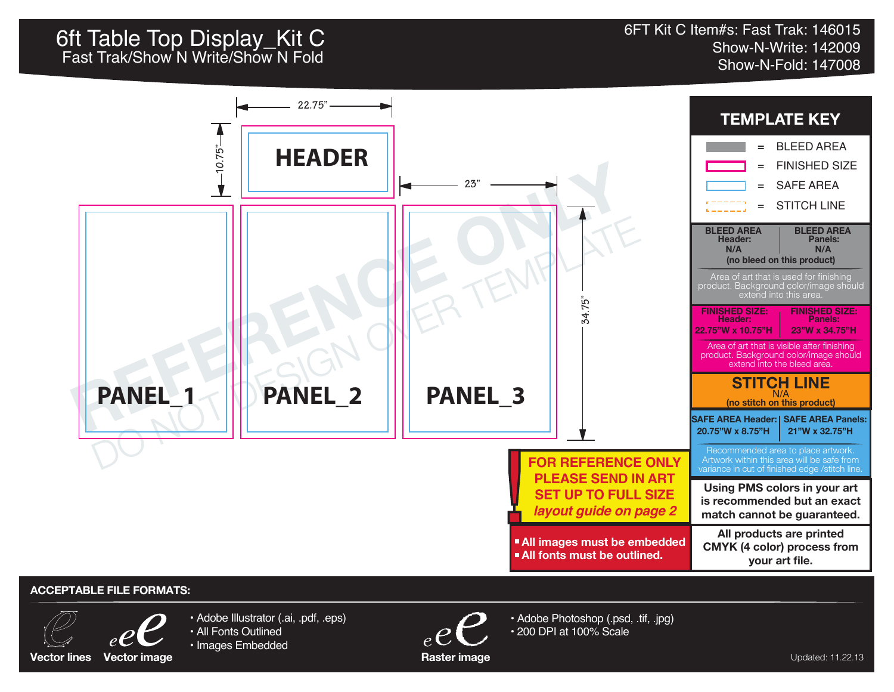## 6ft Table Top Display\_Kit C<br>66ft Table Top Display\_Kit C

Show-N-Write: 142009 Fast Trak/Show N Write/Show N Fold<br>Show-N-Fold: 147008



## **ACCEPTABLE FILE FORMATS:**



- Adobe Illustrator (.ai, .pdf, .eps) • All Fonts Outlined
- Images Embedded
	-



• Adobe Photoshop (.psd, .tif, .jpg) • 200 DPI at 100% Scale